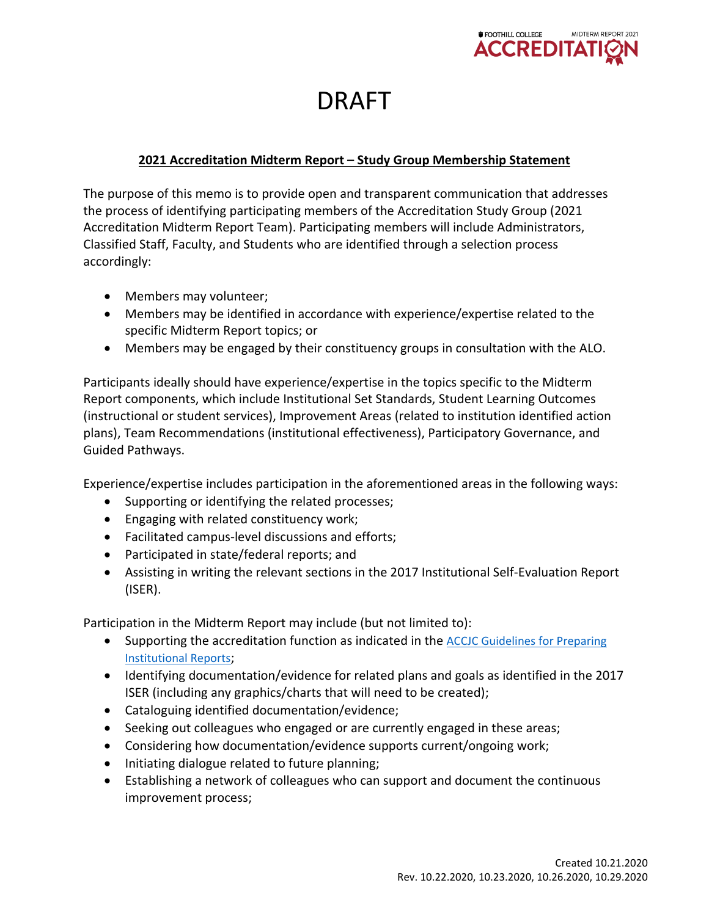

## DRAFT

## **2021 Accreditation Midterm Report – Study Group Membership Statement**

The purpose of this memo is to provide open and transparent communication that addresses the process of identifying participating members of the Accreditation Study Group (2021 Accreditation Midterm Report Team). Participating members will include Administrators, Classified Staff, Faculty, and Students who are identified through a selection process accordingly:

- Members may volunteer;
- Members may be identified in accordance with experience/expertise related to the specific Midterm Report topics; or
- Members may be engaged by their constituency groups in consultation with the ALO.

Participants ideally should have experience/expertise in the topics specific to the Midterm Report components, which include Institutional Set Standards, Student Learning Outcomes (instructional or student services), Improvement Areas (related to institution identified action plans), Team Recommendations (institutional effectiveness), Participatory Governance, and Guided Pathways.

Experience/expertise includes participation in the aforementioned areas in the following ways:

- Supporting or identifying the related processes;
- Engaging with related constituency work;
- Facilitated campus-level discussions and efforts;
- Participated in state/federal reports; and
- Assisting in writing the relevant sections in the 2017 Institutional Self-Evaluation Report (ISER).

Participation in the Midterm Report may include (but not limited to):

- Supporting the accreditation function as indicated in the [ACCJC Guidelines for Preparing](https://urldefense.com/v3/__https:/accjc.org/wp-content/uploads/Guidelines-for-Preparing-Institutional-Reports_Fall-2020-and-beyond.pdf__;!!A-B3JKCz!W_vfwWLIwaiCjnyB6BqEWEK2JHLLDKjLuy86Hcr0dUhmSwnvDPHWOQKRQQg92YEw$) [Institutional Reports](https://urldefense.com/v3/__https:/accjc.org/wp-content/uploads/Guidelines-for-Preparing-Institutional-Reports_Fall-2020-and-beyond.pdf__;!!A-B3JKCz!W_vfwWLIwaiCjnyB6BqEWEK2JHLLDKjLuy86Hcr0dUhmSwnvDPHWOQKRQQg92YEw$);
- Identifying documentation/evidence for related plans and goals as identified in the 2017 ISER (including any graphics/charts that will need to be created);
- Cataloguing identified documentation/evidence;
- Seeking out colleagues who engaged or are currently engaged in these areas;
- Considering how documentation/evidence supports current/ongoing work;
- Initiating dialogue related to future planning;
- Establishing a network of colleagues who can support and document the continuous improvement process;